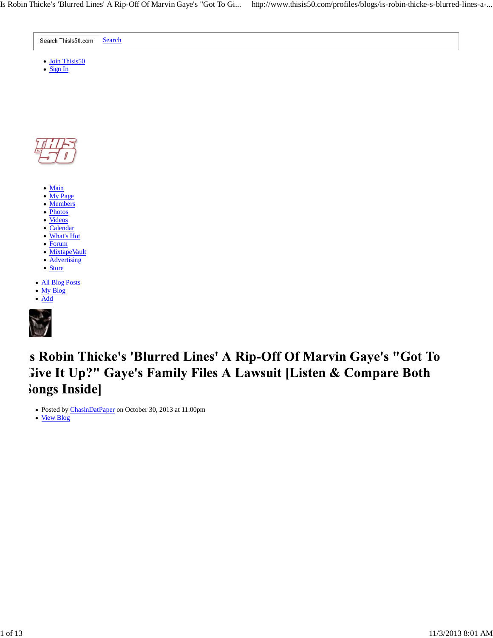



- Main
- My Page Members
- Photos
- Videos
- Calendar
- What's Hot
- Forum
- MixtapeVault
- **Advertising**
- Store
- All Blog Posts
- My Blog
- Add



's Robin Thicke's 'Blurred Lines' A Rip-Off Of Marvin Gaye's "Got To **Sive It Up?" Gaye's Family Files A Lawsuit [Listen & Compare Both** Songs Inside]

Posted by ChasinDatPaper on October 30, 2013 at 11:00pm

View Blog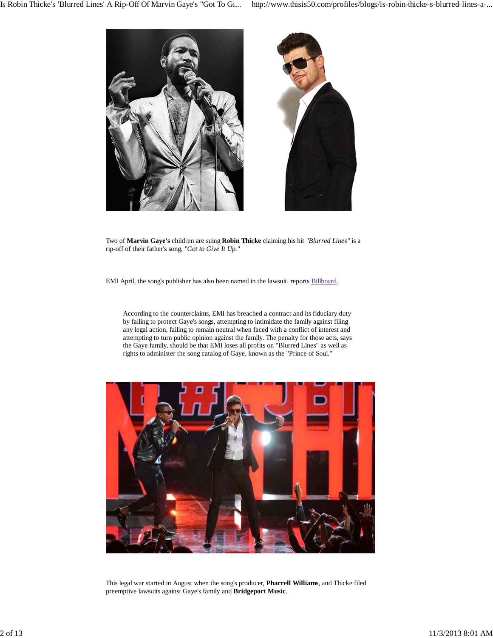

Two of **Marvin Gaye's** children are suing **Robin Thicke** claiming his hit *"Blurred Lines"* is a rip-off of their father's song, *"Got to Give It Up."*

EMI April, the song's publisher has also been named in the lawsuit. reports Billboard.

According to the counterclaims, EMI has breached a contract and its fiduciary duty by failing to protect Gaye's songs, attempting to intimidate the family against filing any legal action, failing to remain neutral when faced with a conflict of interest and attempting to turn public opinion against the family. The penalty for those acts, says the Gaye family, should be that EMI loses all profits on "Blurred Lines" as well as rights to administer the song catalog of Gaye, known as the "Prince of Soul."



This legal war started in August when the song's producer, **Pharrell Williams**, and Thicke filed preemptive lawsuits against Gaye's family and **Bridgeport Music**.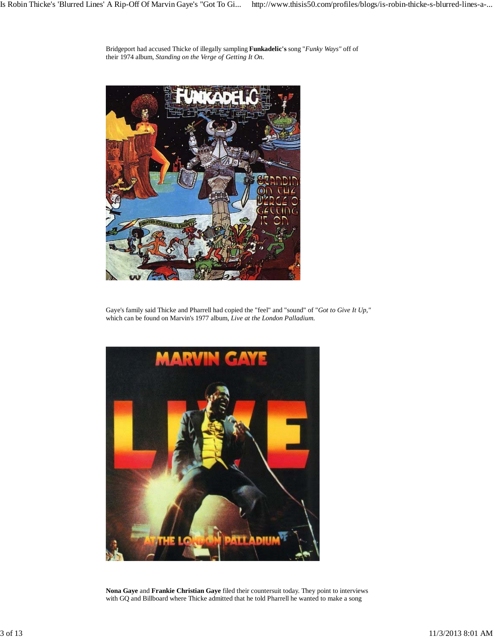Bridgeport had accused Thicke of illegally sampling **Funkadelic's** song "*Funky Ways"* off of their 1974 album, *Standing on the Verge of Getting It On*.



Gaye's family said Thicke and Pharrell had copied the "feel" and "sound" of "*Got to Give It Up,"* which can be found on Marvin's 1977 album, *Live at the London Palladium*.



**Nona Gaye** and **Frankie Christian Gaye** filed their countersuit today. They point to interviews with GQ and Billboard where Thicke admitted that he told Pharrell he wanted to make a song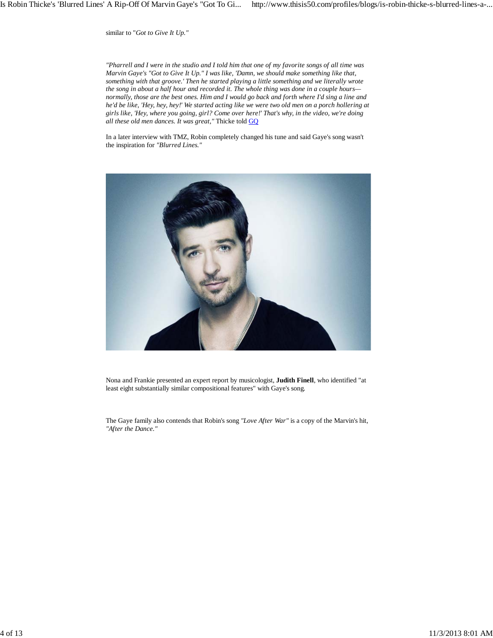similar to "*Got to Give It Up."*

*"Pharrell and I were in the studio and I told him that one of my favorite songs of all time was Marvin Gaye's "Got to Give It Up." I was like, 'Damn, we should make something like that, something with that groove.' Then he started playing a little something and we literally wrote the song in about a half hour and recorded it. The whole thing was done in a couple hours normally, those are the best ones. Him and I would go back and forth where I'd sing a line and he'd be like, 'Hey, hey, hey!' We started acting like we were two old men on a porch hollering at girls like, 'Hey, where you going, girl? Come over here!' That's why, in the video, we're doing all these old men dances. It was great,"* Thicke told GQ

In a later interview with TMZ, Robin completely changed his tune and said Gaye's song wasn't the inspiration for *"Blurred Lines."*



Nona and Frankie presented an expert report by musicologist, **Judith Finell**, who identified "at least eight substantially similar compositional features" with Gaye's song.

The Gaye family also contends that Robin's song *"Love After War"* is a copy of the Marvin's hit, *"After the Dance."*